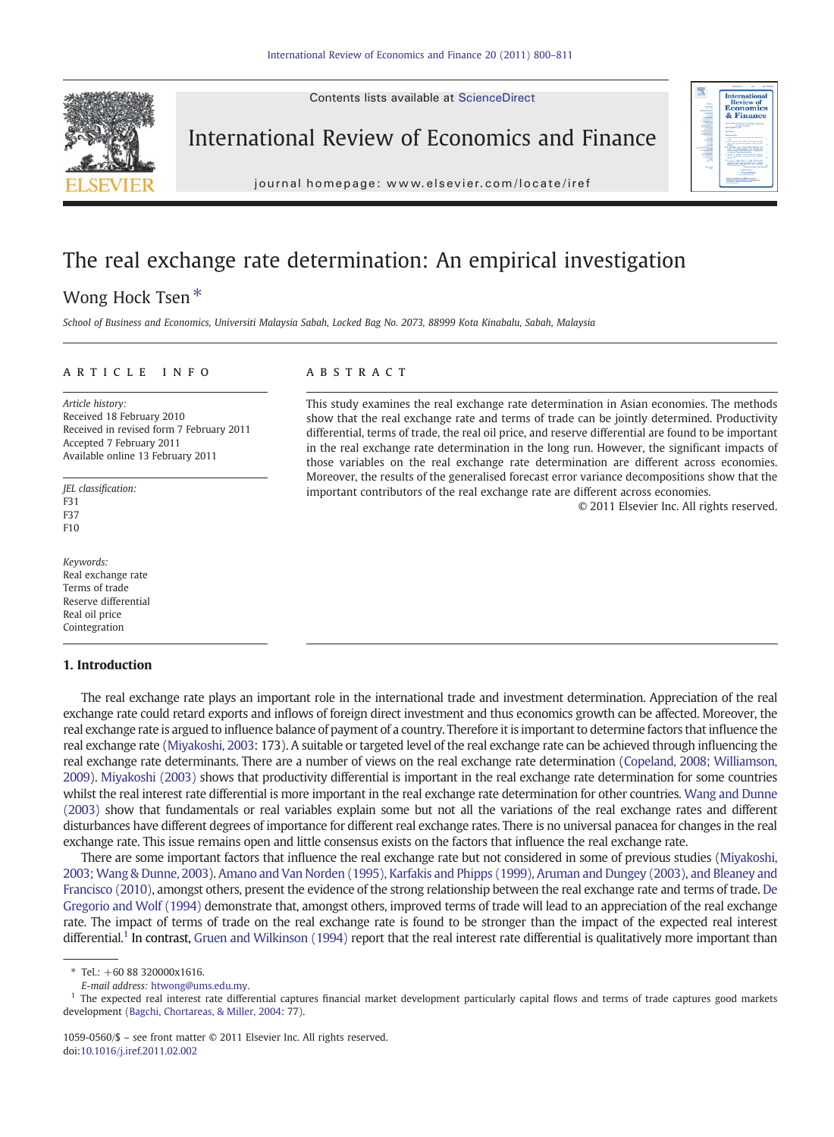Contents lists available at ScienceDirect



International Review of Economics and Finance



j o u r n a l  $\sim$ 

## The real exchange rate determination: An empirical investigation

### Wong Hock Tsen<sup>\*</sup>

School of Business and Economics, Universiti Malaysia Sabah, Locked Bag No. 2073, 88999 Kota Kinabalu, Sabah, Malaysia

#### article info abstract

Article history: Received 18 February 2010 Received in revised form 7 February 2011 Accepted 7 February 2011 Available online 13 February 2011

JEL classification: F31 F37  $F10$ 

Keywords: Real exchange rate Terms of trade Reserve differential Real oil price Cointegration

### 1. Introduction

This study examines the real exchange rate determination in Asian economies. The methods show that the real exchange rate and terms of trade can be jointly determined. Productivity differential, terms of trade, the real oil price, and reserve differential are found to be important in the real exchange rate determination in the long run. However, the significant impacts of those variables on the real exchange rate determination are different across economies. Moreover, the results of the generalised forecast error variance decompositions show that the important contributors of the real exchange rate are different across economies.

© 2011 Elsevier Inc. All rights reserved.

The real exchange rate plays an important role in the international trade and investment determination. Appreciation of the real exchange rate could retard exports and inflows of foreign direct investment and thus economics growth can be affected. Moreover, the real exchange rate is argued to influence balance of payment of a country. Therefore it is important to determine factors that influence the real exchange rate [\(Miyakoshi, 2003:](#page--1-0) 173). A suitable or targeted level of the real exchange rate can be achieved through influencing the real exchange rate determinants. There are a number of views on the real exchange rate determination [\(Copeland, 2008; Williamson,](#page--1-0) [2009\)](#page--1-0). [Miyakoshi \(2003\)](#page--1-0) shows that productivity differential is important in the real exchange rate determination for some countries whilst the real interest rate differential is more important in the real exchange rate determination for other countries. [Wang and Dunne](#page--1-0) [\(2003\)](#page--1-0) show that fundamentals or real variables explain some but not all the variations of the real exchange rates and different disturbances have different degrees of importance for different real exchange rates. There is no universal panacea for changes in the real exchange rate. This issue remains open and little consensus exists on the factors that influence the real exchange rate.

There are some important factors that influence the real exchange rate but not considered in some of previous studies [\(Miyakoshi,](#page--1-0) [2003; Wang & Dunne, 2003](#page--1-0)). [Amano and Van Norden \(1995\), Karfakis and Phipps \(1999\), Aruman and Dungey \(2003\), and Bleaney and](#page--1-0) [Francisco \(2010\)](#page--1-0), amongst others, present the evidence of the strong relationship between the real exchange rate and terms of trade. [De](#page--1-0) [Gregorio and Wolf \(1994\)](#page--1-0) demonstrate that, amongst others, improved terms of trade will lead to an appreciation of the real exchange rate. The impact of terms of trade on the real exchange rate is found to be stronger than the impact of the expected real interest differential.<sup>1</sup> In contrast, [Gruen and Wilkinson \(1994\)](#page--1-0) report that the real interest rate differential is qualitatively more important than

 $*$  Tel.: +60 88 320000x1616.

E-mail address: [htwong@ums.edu.my.](mailto:htwong@ums.edu.my)

<sup>&</sup>lt;sup>1</sup> The expected real interest rate differential captures financial market development particularly capital flows and terms of trade captures good markets development [\(Bagchi, Chortareas, & Miller, 2004:](#page--1-0) 77).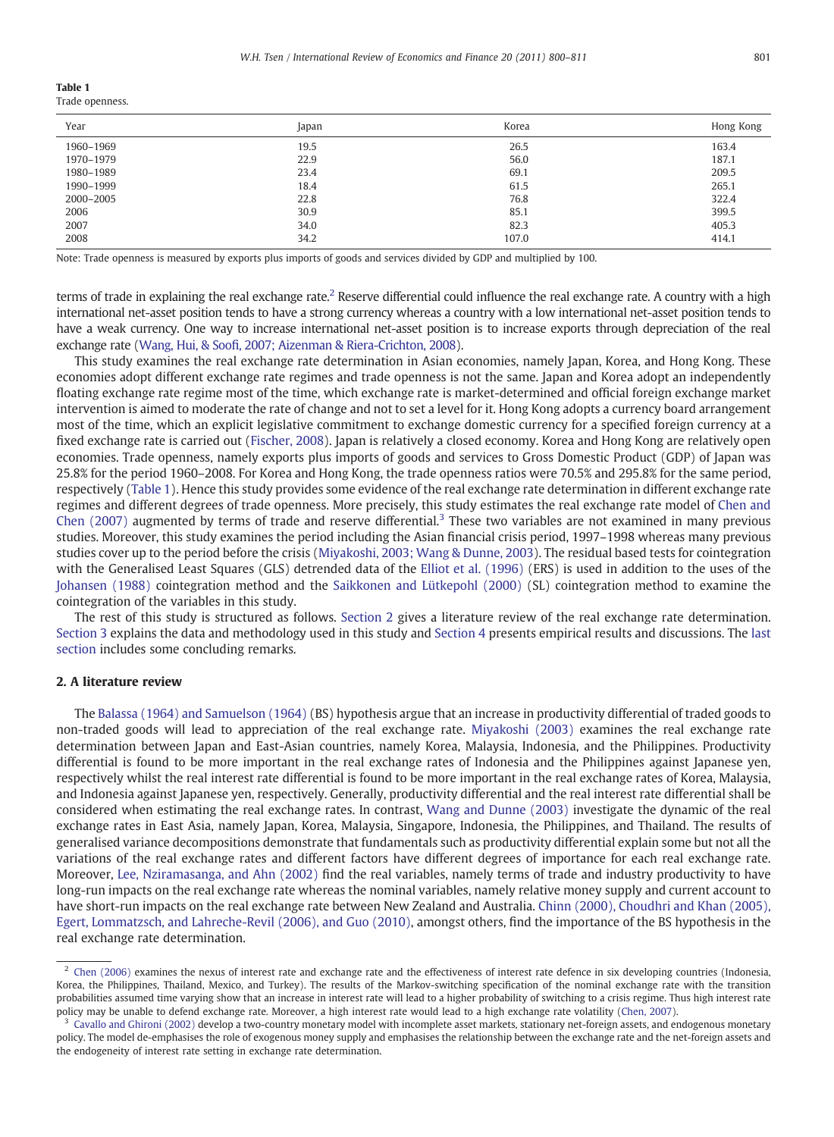|--|--|

Trade openness.

| Year      | Japan | Korea | Hong Kong |
|-----------|-------|-------|-----------|
| 1960-1969 | 19.5  | 26.5  | 163.4     |
| 1970-1979 | 22.9  | 56.0  | 187.1     |
| 1980-1989 | 23.4  | 69.1  | 209.5     |
| 1990-1999 | 18.4  | 61.5  | 265.1     |
| 2000-2005 | 22.8  | 76.8  | 322.4     |
| 2006      | 30.9  | 85.1  | 399.5     |
| 2007      | 34.0  | 82.3  | 405.3     |
| 2008      | 34.2  | 107.0 | 414.1     |

Note: Trade openness is measured by exports plus imports of goods and services divided by GDP and multiplied by 100.

terms of trade in explaining the real exchange rate.<sup>2</sup> Reserve differential could influence the real exchange rate. A country with a high international net-asset position tends to have a strong currency whereas a country with a low international net-asset position tends to have a weak currency. One way to increase international net-asset position is to increase exports through depreciation of the real exchange rate (Wang, Hui, & Soofi[, 2007; Aizenman & Riera-Crichton, 2008](#page--1-0)).

This study examines the real exchange rate determination in Asian economies, namely Japan, Korea, and Hong Kong. These economies adopt different exchange rate regimes and trade openness is not the same. Japan and Korea adopt an independently floating exchange rate regime most of the time, which exchange rate is market-determined and official foreign exchange market intervention is aimed to moderate the rate of change and not to set a level for it. Hong Kong adopts a currency board arrangement most of the time, which an explicit legislative commitment to exchange domestic currency for a specified foreign currency at a fixed exchange rate is carried out ([Fischer, 2008](#page--1-0)). Japan is relatively a closed economy. Korea and Hong Kong are relatively open economies. Trade openness, namely exports plus imports of goods and services to Gross Domestic Product (GDP) of Japan was 25.8% for the period 1960–2008. For Korea and Hong Kong, the trade openness ratios were 70.5% and 295.8% for the same period, respectively (Table 1). Hence this study provides some evidence of the real exchange rate determination in different exchange rate regimes and different degrees of trade openness. More precisely, this study estimates the real exchange rate model of [Chen and](#page--1-0) Chen  $(2007)$  augmented by terms of trade and reserve differential.<sup>3</sup> These two variables are not examined in many previous studies. Moreover, this study examines the period including the Asian financial crisis period, 1997–1998 whereas many previous studies cover up to the period before the crisis ([Miyakoshi, 2003; Wang & Dunne, 2003](#page--1-0)). The residual based tests for cointegration with the Generalised Least Squares (GLS) detrended data of the [Elliot et al. \(1996\)](#page--1-0) (ERS) is used in addition to the uses of the [Johansen \(1988\)](#page--1-0) cointegration method and the [Saikkonen and Lütkepohl \(2000\)](#page--1-0) (SL) cointegration method to examine the cointegration of the variables in this study.

The rest of this study is structured as follows. Section 2 gives a literature review of the real exchange rate determination. [Section 3](#page--1-0) explains the data and methodology used in this study and [Section 4](#page--1-0) presents empirical results and discussions. The [last](#page--1-0) [section](#page--1-0) includes some concluding remarks.

#### 2. A literature review

The [Balassa \(1964\) and Samuelson \(1964\)](#page--1-0) (BS) hypothesis argue that an increase in productivity differential of traded goods to non-traded goods will lead to appreciation of the real exchange rate. [Miyakoshi \(2003\)](#page--1-0) examines the real exchange rate determination between Japan and East-Asian countries, namely Korea, Malaysia, Indonesia, and the Philippines. Productivity differential is found to be more important in the real exchange rates of Indonesia and the Philippines against Japanese yen, respectively whilst the real interest rate differential is found to be more important in the real exchange rates of Korea, Malaysia, and Indonesia against Japanese yen, respectively. Generally, productivity differential and the real interest rate differential shall be considered when estimating the real exchange rates. In contrast, [Wang and Dunne \(2003\)](#page--1-0) investigate the dynamic of the real exchange rates in East Asia, namely Japan, Korea, Malaysia, Singapore, Indonesia, the Philippines, and Thailand. The results of generalised variance decompositions demonstrate that fundamentals such as productivity differential explain some but not all the variations of the real exchange rates and different factors have different degrees of importance for each real exchange rate. Moreover, [Lee, Nziramasanga, and Ahn \(2002\)](#page--1-0) find the real variables, namely terms of trade and industry productivity to have long-run impacts on the real exchange rate whereas the nominal variables, namely relative money supply and current account to have short-run impacts on the real exchange rate between New Zealand and Australia. [Chinn \(2000\), Choudhri and Khan \(2005\),](#page--1-0) [Egert, Lommatzsch, and Lahreche-Revil \(2006\), and Guo \(2010\)](#page--1-0), amongst others, find the importance of the BS hypothesis in the real exchange rate determination.

<sup>&</sup>lt;sup>2</sup> [Chen \(2006\)](#page--1-0) examines the nexus of interest rate and exchange rate and the effectiveness of interest rate defence in six developing countries (Indonesia, Korea, the Philippines, Thailand, Mexico, and Turkey). The results of the Markov-switching specification of the nominal exchange rate with the transition probabilities assumed time varying show that an increase in interest rate will lead to a higher probability of switching to a crisis regime. Thus high interest rate policy may be unable to defend exchange rate. Moreover, a high interest rate would lead to a high exchange rate volatility ([Chen, 2007\)](#page--1-0).

 $3$  [Cavallo and Ghironi \(2002\)](#page--1-0) develop a two-country monetary model with incomplete asset markets, stationary net-foreign assets, and endogenous monetary policy. The model de-emphasises the role of exogenous money supply and emphasises the relationship between the exchange rate and the net-foreign assets and the endogeneity of interest rate setting in exchange rate determination.